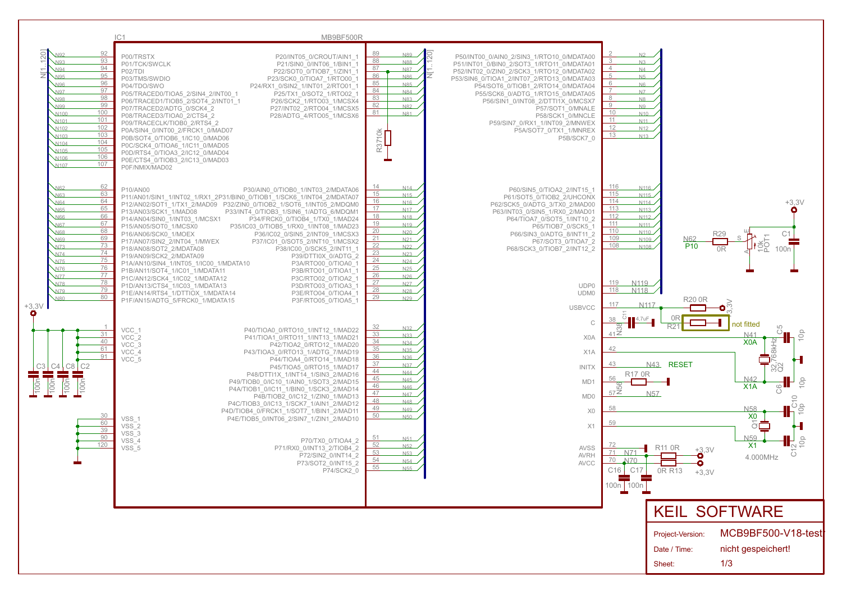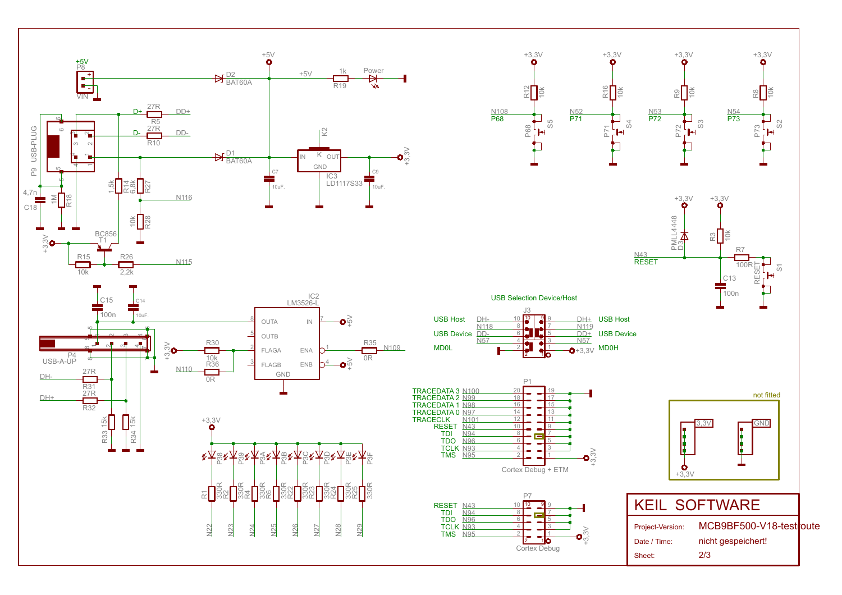













| 10         | <b>SOFTWARE</b>  |                         |  |
|------------|------------------|-------------------------|--|
|            | Project-Version: | MCB9BF500-V18-testroute |  |
|            | Date / Time:     | nicht gespeichert!      |  |
| rtex Debug | Sheet:           | 2/3                     |  |